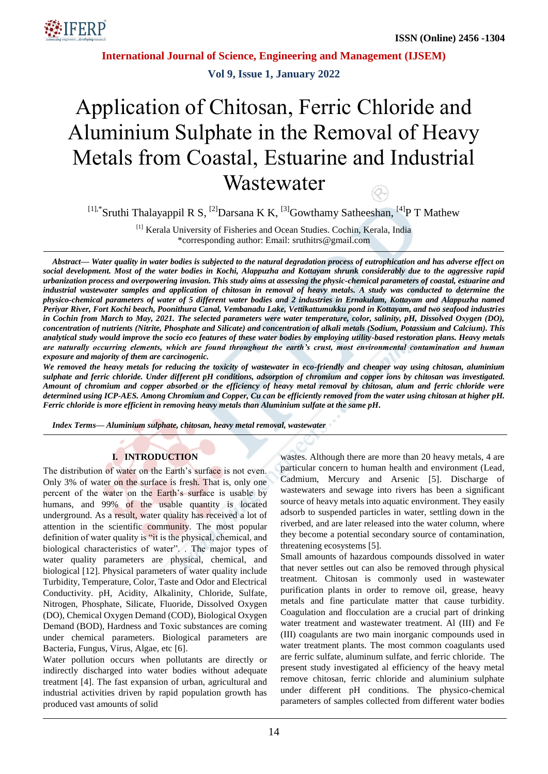

**Vol 9, Issue 1, January 2022**

# Application of Chitosan, Ferric Chloride and Aluminium Sulphate in the Removal of Heavy Metals from Coastal, Estuarine and Industrial **Wastewater** Q.

<sup>[1],\*</sup>Sruthi Thalayappil R S, <sup>[2]</sup>Darsana K K, <sup>[3]</sup>Gowthamy Satheeshan, <sup>[4]</sup>P T Mathew

[1] Kerala University of Fisheries and Ocean Studies. Cochin, Kerala, India \*corresponding author: Email: sruthitrs@gmail.com

*Abstract— Water quality in water bodies is subjected to the natural degradation process of eutrophication and has adverse effect on social development. Most of the water bodies in Kochi, Alappuzha and Kottayam shrunk considerably due to the aggressive rapid urbanization process and overpowering invasion. This study aims at assessing the physic-chemical parameters of coastal, estuarine and industrial wastewater samples and application of chitosan in removal of heavy metals. A study was conducted to determine the physico-chemical parameters of water of 5 different water bodies and 2 industries in Ernakulam, Kottayam and Alappuzha named Periyar River, Fort Kochi beach, Poonithura Canal, Vembanadu Lake, Vettikattumukku pond in Kottayam, and two seafood industries in Cochin from March to May, 2021. The selected parameters were water temperature, color, salinity, pH, Dissolved Oxygen (DO), concentration of nutrients (Nitrite, Phosphate and Silicate) and concentration of alkali metals (Sodium, Potassium and Calcium). This analytical study would improve the socio eco features of these water bodies by employing utility-based restoration plans. Heavy metals are naturally occurring elements, which are found throughout the earth's crust, most environmental contamination and human exposure and majority of them are carcinogenic.*

*We removed the heavy metals for reducing the toxicity of wastewater in eco-friendly and cheaper way using chitosan, aluminium sulphate and ferric chloride. Under different pH conditions, adsorption of chromium and copper ions by chitosan was investigated. Amount of chromium and copper absorbed or the efficiency of heavy metal removal by chitosan, alum and ferric chloride were determined using ICP-AES. Among Chromium and Copper, Cu can be efficiently removed from the water using chitosan at higher pH. Ferric chloride is more efficient in removing heavy metals than Aluminium sulfate at the same pH.*

*Index Terms— Aluminium sulphate, chitosan, heavy metal removal, wastewater*

#### **I. INTRODUCTION**

The distribution of water on the Earth's surface is not even. Only 3% of water on the surface is fresh. That is, only one percent of the water on the Earth's surface is usable by humans, and 99% of the usable quantity is located underground. As a result, water quality has received a lot of attention in the scientific community. The most popular definition of water quality is "it is the physical, chemical, and biological characteristics of water". . The major types of water quality parameters are physical, chemical, and biological [12]. Physical parameters of water quality include Turbidity, Temperature, Color, Taste and Odor and Electrical Conductivity. pH, Acidity, Alkalinity, Chloride, Sulfate, Nitrogen, Phosphate, Silicate, Fluoride, Dissolved Oxygen (DO), Chemical Oxygen Demand (COD), Biological Oxygen Demand (BOD), Hardness and Toxic substances are coming under chemical parameters. Biological parameters are Bacteria, Fungus, Virus, Algae, etc [6].

Water pollution occurs when pollutants are directly or indirectly discharged into water bodies without adequate treatment [4]. The fast expansion of urban, agricultural and industrial activities driven by rapid population growth has produced vast amounts of solid

wastes. Although there are more than 20 heavy metals, 4 are particular concern to human health and environment (Lead, Cadmium, Mercury and Arsenic [5]. Discharge of wastewaters and sewage into rivers has been a significant source of heavy metals into aquatic environment. They easily adsorb to suspended particles in water, settling down in the riverbed, and are later released into the water column, where they become a potential secondary source of contamination, threatening ecosystems [5].

Small amounts of hazardous compounds dissolved in water that never settles out can also be removed through physical treatment. Chitosan is commonly used in wastewater purification plants in order to remove oil, grease, heavy metals and fine particulate matter that cause turbidity. Coagulation and flocculation are a crucial part of drinking water treatment and wastewater treatment. Al (III) and Fe (III) coagulants are two main inorganic compounds used in water treatment plants. The most common coagulants used are ferric sulfate, aluminum sulfate, and ferric chloride. The present study investigated al efficiency of the heavy metal remove chitosan, ferric chloride and aluminium sulphate under different pH conditions. The physico-chemical parameters of samples collected from different water bodies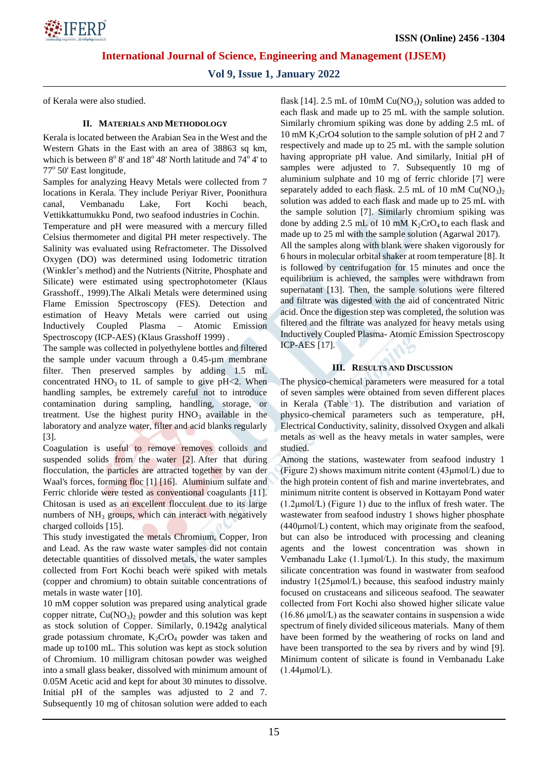

**Vol 9, Issue 1, January 2022**

of Kerala were also studied.

#### **II. MATERIALS AND METHODOLOGY**

Kerala is located between the Arabian Sea in the West and the Western Ghats in the East with an area of 38863 sq km, which is between  $8^{\circ} 8'$  and  $18^{\circ} 48'$  North latitude and  $74^{\circ} 4'$  to 77° 50' East longitude,

Samples for analyzing Heavy Metals were collected from 7 locations in Kerala. They include Periyar River, Poonithura canal, Vembanadu Lake, Fort Kochi beach, Vettikkattumukku Pond, two seafood industries in Cochin.

Temperature and pH were measured with a mercury filled Celsius thermometer and digital PH meter respectively. The Salinity was evaluated using Refractometer. The Dissolved Oxygen (DO) was determined using Iodometric titration (Winkler's method) and the Nutrients (Nitrite, Phosphate and Silicate) were estimated using spectrophotometer (Klaus Grasshoff., 1999).The Alkali Metals were determined using Flame Emission Spectroscopy (FES). Detection and estimation of Heavy Metals were carried out using Inductively Coupled Plasma – Atomic Emission Spectroscopy (ICP-AES) (Klaus Grasshoff 1999) .

The sample was collected in polyethylene bottles and filtered the sample under vacuum through a 0.45-µm membrane filter. Then preserved samples by adding 1.5 mL concentrated  $HNO<sub>3</sub>$  to 1L of sample to give pH $\lt 2$ . When handling samples, be extremely careful not to introduce contamination during sampling, handling, storage, or treatment. Use the highest purity  $HNO<sub>3</sub>$  available in the laboratory and analyze water, filter and acid blanks regularly [3].

Coagulation is useful to remove removes colloids and suspended solids from the water [2]. After that during flocculation, the particles are attracted together by van der Waal's forces, forming floc [1] [16]. Aluminium sulfate and Ferric chloride were tested as conventional coagulants [11]. Chitosan is used as an excellent flocculent due to its large numbers of  $NH_3$  groups, which can interact with negatively charged colloids [15].

This study investigated the metals Chromium, Copper, Iron and Lead. As the raw waste water samples did not contain detectable quantities of dissolved metals, the water samples collected from Fort Kochi beach were spiked with metals (copper and chromium) to obtain suitable concentrations of metals in waste water [10].

10 mM copper solution was prepared using analytical grade copper nitrate,  $Cu(NO<sub>3</sub>)<sub>2</sub>$  powder and this solution was kept as stock solution of Copper. Similarly, 0.1942g analytical grade potassium chromate,  $K_2CrO_4$  powder was taken and made up to100 mL. This solution was kept as stock solution of Chromium. 10 milligram chitosan powder was weighed into a small glass beaker, dissolved with minimum amount of 0.05M Acetic acid and kept for about 30 minutes to dissolve. Initial pH of the samples was adjusted to 2 and 7. Subsequently 10 mg of chitosan solution were added to each flask [14]. 2.5 mL of 10mM  $Cu(NO<sub>3</sub>)<sub>2</sub>$  solution was added to each flask and made up to 25 mL with the sample solution. Similarly chromium spiking was done by adding 2.5 mL of 10 mM K<sub>2</sub>CrO4 solution to the sample solution of pH 2 and 7 respectively and made up to 25 mL with the sample solution having appropriate pH value. And similarly, Initial pH of samples were adjusted to 7. Subsequently 10 mg of aluminium sulphate and 10 mg of ferric chloride [7] were separately added to each flask. 2.5 mL of 10 mM  $Cu(NO<sub>3</sub>)<sub>2</sub>$ solution was added to each flask and made up to 25 mL with the sample solution [7]. Similarly chromium spiking was done by adding 2.5 mL of 10 mM  $K_2CrO_4$  to each flask and made up to 25 ml with the sample solution (Agarwal 2017). All the samples along with blank were shaken vigorously for 6 hours in molecular orbital shaker at room temperature [8]. It is followed by centrifugation for 15 minutes and once the equilibrium is achieved, the samples were withdrawn from supernatant [13]. Then, the sample solutions were filtered and filtrate was digested with the aid of concentrated Nitric acid. Once the digestion step was completed, the solution was filtered and the filtrate was analyzed for heavy metals using Inductively Coupled Plasma- Atomic Emission Spectroscopy ICP-AES [17].

#### **III. RESULTS AND DISCUSSION**

The physico-chemical parameters were measured for a total of seven samples were obtained from seven different places in Kerala (Table 1). The distribution and variation of physico-chemical parameters such as temperature, pH, Electrical Conductivity, salinity, dissolved Oxygen and alkali metals as well as the heavy metals in water samples, were studied.

Among the stations, wastewater from seafood industry 1 (Figure 2) shows maximum nitrite content (43μmol/L) due to the high protein content of fish and marine invertebrates, and minimum nitrite content is observed in Kottayam Pond water  $(1.2 \mu \text{mol/L})$  (Figure 1) due to the influx of fresh water. The wastewater from seafood industry 1 shows higher phosphate (440μmol/L) content, which may originate from the seafood, but can also be introduced with processing and cleaning agents and the lowest concentration was shown in Vembanadu Lake (1.1μmol/L). In this study, the maximum silicate concentration was found in wastwater from seafood industry 1(25μmol/L) because, this seafood industry mainly focused on crustaceans and siliceous seafood. The seawater collected from Fort Kochi also showed higher silicate value (16.86 μmol/L) as the seawater contains in suspension a wide spectrum of finely divided siliceous materials. Many of them have been formed by the weathering of rocks on land and have been transported to the sea by rivers and by wind [9]. Minimum content of silicate is found in Vembanadu Lake (1.44μmol/L).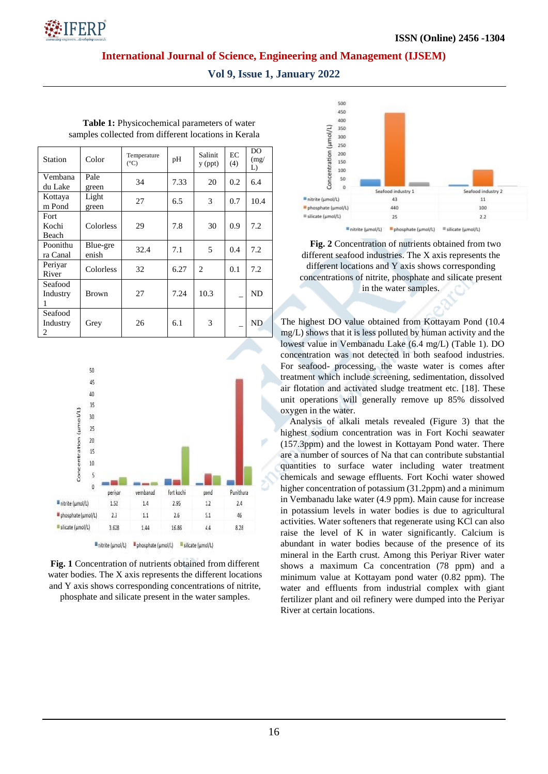

**Vol 9, Issue 1, January 2022**

| <b>Station</b>           | Color             | Temperature<br>$({}^{\circ}C)$ | pH   | Salinit<br>$y$ (ppt) | EC<br>(4) | DO.<br>(mg)<br>L) |
|--------------------------|-------------------|--------------------------------|------|----------------------|-----------|-------------------|
| Vembana<br>du Lake       | Pale<br>green     | 34                             | 7.33 | 20                   | 0.2       | 6.4               |
| Kottaya<br>m Pond        | Light<br>green    | 27                             | 6.5  | 3                    | 0.7       | 10.4              |
| Fort<br>Kochi<br>Beach   | Colorless         | 29                             | 7.8  | 30                   | 0.9       | 7.2               |
| Poonithu<br>ra Canal     | Blue-gre<br>enish | 32.4                           | 7.1  | 5                    | 0.4       | 7.2               |
| Periyar<br>River         | Colorless         | 32                             | 6.27 | 2                    | 0.1       | 7.2               |
| Seafood<br>Industry<br>1 | Brown             | 27                             | 7.24 | 10.3                 |           | ND                |
| Seafood<br>Industry<br>2 | Grey              | 26                             | 6.1  | 3                    |           | ND.               |

**Table 1:** Physicochemical parameters of water samples collected from different locations in Kerala



**Fig. 1** Concentration of nutrients obtained from different water bodies. The X axis represents the different locations and Y axis shows corresponding concentrations of nitrite,

phosphate and silicate present in the water samples.



**Fig. 2** Concentration of nutrients obtained from two different seafood industries. The X axis represents the different locations and Y axis shows corresponding concentrations of nitrite, phosphate and silicate present in the water samples.

The highest DO value obtained from Kottayam Pond (10.4 mg/L) shows that it is less polluted by human activity and the lowest value in Vembanadu Lake (6.4 mg/L) (Table 1). DO concentration was not detected in both seafood industries. For seafood- processing, the waste water is comes after treatment which include screening, sedimentation, dissolved air flotation and activated sludge treatment etc. [18]. These unit operations will generally remove up 85% dissolved oxygen in the water.

Analysis of alkali metals revealed (Figure 3) that the highest sodium concentration was in Fort Kochi seawater (157.3ppm) and the lowest in Kottayam Pond water. There are a number of sources of Na that can contribute substantial quantities to surface water including water treatment chemicals and sewage effluents. Fort Kochi water showed higher concentration of potassium (31.2ppm) and a minimum in Vembanadu lake water (4.9 ppm). Main cause for increase in potassium levels in water bodies is due to agricultural activities. Water softeners that regenerate using KCl can also raise the level of K in water significantly. Calcium is abundant in water bodies because of the presence of its mineral in the Earth crust. Among this Periyar River water shows a maximum Ca concentration (78 ppm) and a minimum value at Kottayam pond water (0.82 ppm). The water and effluents from industrial complex with giant fertilizer plant and oil refinery were dumped into the Periyar River at certain locations.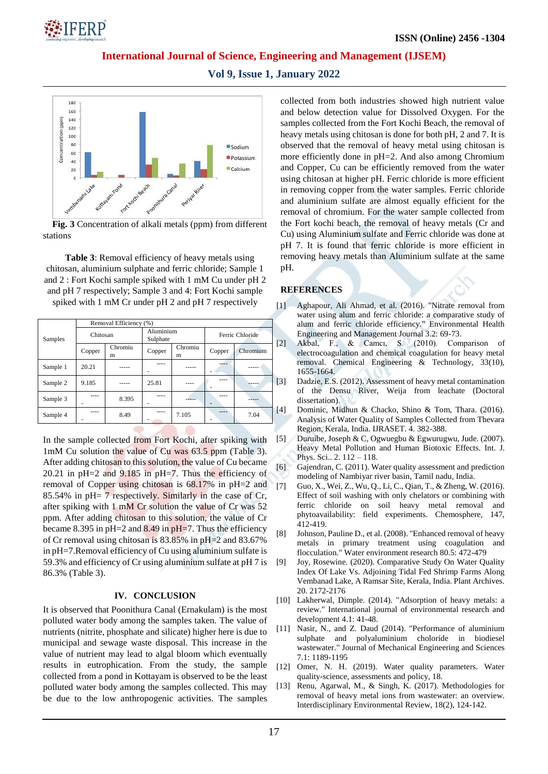

**Vol 9, Issue 1, January 2022**



**Fig. 3** Concentration of alkali metals (ppm) from different stations

**Table 3**: Removal efficiency of heavy metals using chitosan, aluminium sulphate and ferric chloride; Sample 1 and 2 : Fort Kochi sample spiked with 1 mM Cu under pH 2 and pH 7 respectively; Sample 3 and 4: Fort Kochi sample spiked with 1 mM Cr under pH 2 and pH 7 respectively

|          | Removal Efficiency (%) |              |                       |              |                 |          |    |
|----------|------------------------|--------------|-----------------------|--------------|-----------------|----------|----|
| Samples  | Chitosan               |              | Aluminium<br>Sulphate |              | Ferric Chloride |          |    |
|          | Copper                 | Chromiu<br>m | Copper                | Chromiu<br>m | Copper          | Chromium | Ľ  |
| Sample 1 | 20.21                  |              |                       |              | ----            |          |    |
| Sample 2 | 9.185                  |              | 25.81                 |              |                 |          | [: |
| Sample 3 |                        | 8.395        |                       |              |                 |          |    |
| Sample 4 |                        | 8.49         |                       | 7.105        | $- - - -$       | 7.04     | ſ  |

In the sample collected from Fort Kochi, after spiking with 1mM Cu solution the value of Cu was 63.5 ppm (Table 3). After adding chitosan to this solution, the value of Cu became 20.21 in pH=2 and 9.185 in pH=7. Thus the efficiency of removal of Copper using chitosan is 68.17% in pH=2 and 85.54% in pH= 7 respectively. Similarly in the case of Cr, after spiking with 1 mM Cr solution the value of Cr was 52 ppm. After adding chitosan to this solution, the value of Cr became 8.395 in  $pH=2$  and 8.49 in  $pH=7$ . Thus the efficiency of Cr removal using chitosan is 83.85% in pH=2 and 83.67% in pH=7.Removal efficiency of Cu using aluminium sulfate is 59.3% and efficiency of Cr using aluminium sulfate at pH 7 is 86.3% (Table 3).

#### **IV. CONCLUSION**

It is observed that Poonithura Canal (Ernakulam) is the most polluted water body among the samples taken. The value of nutrients (nitrite, phosphate and silicate) higher here is due to municipal and sewage waste disposal. This increase in the value of nutrient may lead to algal bloom which eventually results in eutrophication. From the study, the sample collected from a pond in Kottayam is observed to be the least polluted water body among the samples collected. This may be due to the low anthropogenic activities. The samples collected from both industries showed high nutrient value and below detection value for Dissolved Oxygen. For the samples collected from the Fort Kochi Beach, the removal of heavy metals using chitosan is done for both pH, 2 and 7. It is observed that the removal of heavy metal using chitosan is more efficiently done in pH=2. And also among Chromium and Copper, Cu can be efficiently removed from the water using chitosan at higher pH. Ferric chloride is more efficient in removing copper from the water samples. Ferric chloride and aluminium sulfate are almost equally efficient for the removal of chromium. For the water sample collected from the Fort kochi beach, the removal of heavy metals (Cr and Cu) using Aluminium sulfate and Ferric chloride was done at pH 7. It is found that ferric chloride is more efficient in removing heavy metals than Aluminium sulfate at the same pH.

### **REFERENCES**

- [1] Aghapour, Ali Ahmad, et al. (2016). "Nitrate removal from water using alum and ferric chloride: a comparative study of alum and ferric chloride efficiency." Environmental Health Engineering and Management Journal 3.2: 69-73.
	- [2] Akbal, F., & Camcı, S. (2010). Comparison of electrocoagulation and chemical coagulation for heavy metal removal. Chemical Engineering & Technology, 33(10), 1655-1664.
	- [3] Dadzie, E.S. (2012). Assessment of heavy metal contamination of the Densu River, Weija from leachate (Doctoral dissertation).
	- [4] Dominic, Midhun & Chacko, Shino & Tom, Thara. (2016). Analysis of Water Quality of Samples Collected from Thevara Region, Kerala, India. IJRASET. 4. 382-388.
- [5] Duruibe, Joseph & C, Ogwuegbu & Egwurugwu, Jude. (2007). Heavy Metal Pollution and Human Biotoxic Effects. Int. J. Phys. Sci.. 2. 112 – 118.
- [6] Gajendran, C. (2011). Water quality assessment and prediction modeling of Nambiyar river basin, Tamil nadu, India.
- [7] Guo, X., Wei, Z., Wu, Q., Li, C., Qian, T., & Zheng, W. (2016). Effect of soil washing with only chelators or combining with ferric chloride on soil heavy metal removal and phytoavailability: field experiments. Chemosphere, 147, 412-419.
- [8] Johnson, Pauline D., et al. (2008). "Enhanced removal of heavy metals in primary treatment using coagulation and flocculation." Water environment research 80.5: 472-479
- [9] Joy, Rosewine. (2020). Comparative Study On Water Quality Index Of Lake Vs. Adjoining Tidal Fed Shrimp Farms Along Vembanad Lake, A Ramsar Site, Kerala, India. Plant Archives. 20. 2172-2176
- [10] Lakherwal, Dimple. (2014). "Adsorption of heavy metals: a review." International journal of environmental research and development 4.1: 41-48.
- [11] Nasir, N., and Z. Daud (2014). "Performance of aluminium sulphate and polyaluminium choloride in biodiesel wastewater." Journal of Mechanical Engineering and Sciences 7.1: 1189-1195
- [12] Omer, N. H. (2019). Water quality parameters. Water quality-science, assessments and policy, 18.
- [13] Renu, Agarwal, M., & Singh, K. (2017). Methodologies for removal of heavy metal ions from wastewater: an overview. Interdisciplinary Environmental Review, 18(2), 124-142.